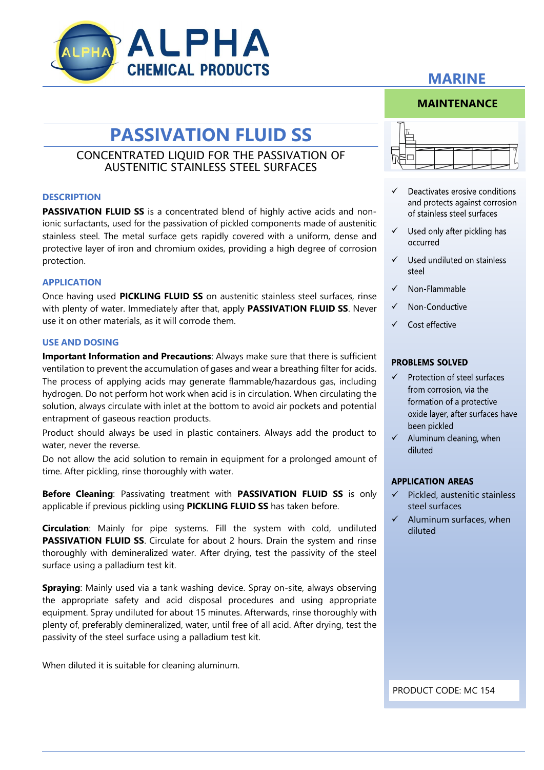

**MAINTENANCE**

# **PASSIVATION FLUID SS**

## CONCENTRATED LIQUID FOR THE PASSIVATION OF AUSTENITIC STAINLESS STEEL SURFACES

### **DESCRIPTION**

**PASSIVATION FLUID SS** is a concentrated blend of highly active acids and nonionic surfactants, used for the passivation of pickled components made of austenitic stainless steel. The metal surface gets rapidly covered with a uniform, dense and protective layer of iron and chromium oxides, providing a high degree of corrosion protection.

### **APPLICATION**

Once having used **PICKLING FLUID SS** on austenitic stainless steel surfaces, rinse with plenty of water. Immediately after that, apply **PASSIVATION FLUID SS**. Never use it on other materials, as it will corrode them.

### **USE AND DOSING**

**Important Information and Precautions**: Always make sure that there is sufficient ventilation to prevent the accumulation of gases and wear a breathing filter for acids. The process of applying acids may generate flammable/hazardous gas, including hydrogen. Do not perform hot work when acid is in circulation. When circulating the solution, always circulate with inlet at the bottom to avoid air pockets and potential entrapment of gaseous reaction products.

Product should always be used in plastic containers. Always add the product to water, never the reverse.

Do not allow the acid solution to remain in equipment for a prolonged amount of time. After pickling, rinse thoroughly with water.

**Before Cleaning**: Passivating treatment with **PASSIVATION FLUID SS** is only applicable if previous pickling using **PICKLING FLUID SS** has taken before.

**Circulation**: Mainly for pipe systems. Fill the system with cold, undiluted **PASSIVATION FLUID SS.** Circulate for about 2 hours. Drain the system and rinse thoroughly with demineralized water. After drying, test the passivity of the steel surface using a palladium test kit.

**Spraying**: Mainly used via a tank washing device. Spray on-site, always observing the appropriate safety and acid disposal procedures and using appropriate equipment. Spray undiluted for about 15 minutes. Afterwards, rinse thoroughly with plenty of, preferably demineralized, water, until free of all acid. After drying, test the passivity of the steel surface using a palladium test kit.

When diluted it is suitable for cleaning aluminum.

- Deactivates erosive conditions and protects against corrosion of stainless steel surfaces
- $\checkmark$  Used only after pickling has occurred
- $\checkmark$  Used undiluted on stainless steel
- $\checkmark$  Non-Flammable
- $\checkmark$ Non-Conductive
- $\checkmark$  Cost effective

### **PROBLEMS SOLVED**

- $\checkmark$ Protection of steel surfaces from corrosion, via the formation of a protective oxide layer, after surfaces have been pickled
- $\checkmark$ Aluminum cleaning, when diluted

### **APPLICATION AREAS**

- Pickled, austenitic stainless steel surfaces
- $\checkmark$  Aluminum surfaces, when diluted

PRODUCT CODE: MC 154